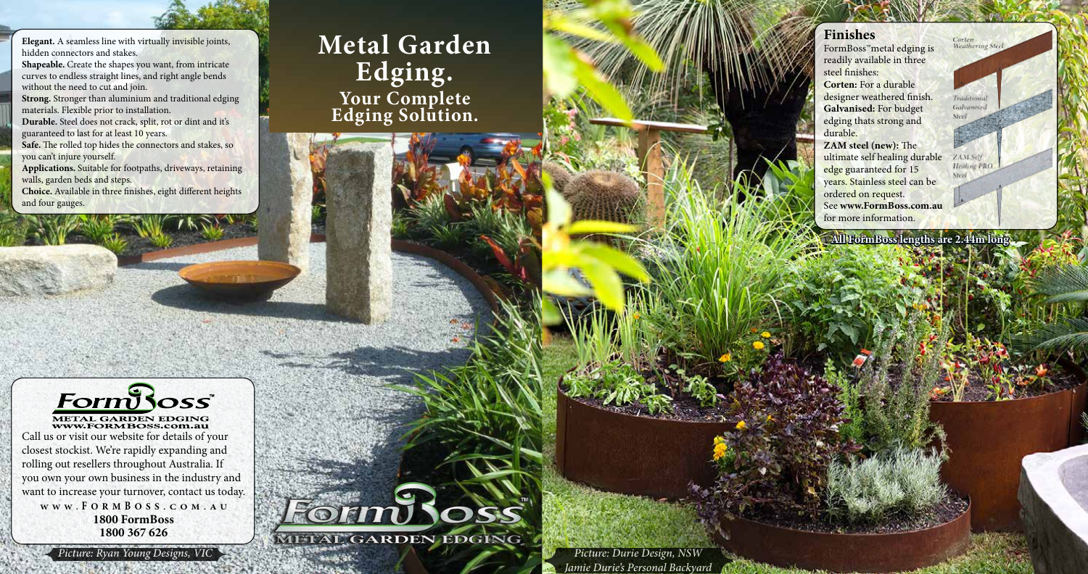**Elegant.** A seamless line with virtually invisible joints, hidden connectors and stakes.

**Shapeable.** Create the shapes you want, from intricate curves to endless straight lines, and right angle bends without the need to cut and join.

Safe. The rolled top hides the connectors and stakes, so you can't injure yourself.

**Strong.** Stronger than aluminium and traditional edging materials. Flexible prior to installation.

**Durable.** Steel does not crack, split, rot or dint and it's guaranteed to last for at least 10 years.

METAL GARDEN EDGING WWW.FORMBOSS.com.au Call us or visit our website for details of your closest stockist. We're rapidly expanding and rolling out resellers throughout Australia. If you own your own business in the industry and want to increase your turnover, contact us today. **WWW . F ORM B OSS .COM.AU 1800 FormBoss 1800 367 626**

METAL GARDEN EDGING

**Applications.** Suitable for footpaths, driveways, retaining walls, garden beds and steps.

**Choice.** Available in three finishes, eight different heights and four gauges.

FormBoss™metal edging is readily available in three **Corten:** For a durable designer weathered finish. **Galvanised:** For budget

**Finishes** steel finishes: durable. ordered on request.

edging thats strong and

**ZAM steel (new):** The ultimate self healing durable edge guaranteed for 15 years. Stainless steel can be See **www.FormBoss.com.au** for more information.

## **Metal Garden Edging. Your Complete Edging Solution.**

**Form Ross** 

**All FormBoss lengths are 2.44m long**

Corten<br>Weathering Steel

Traditiona Galvanise

ZAM Self **Healing PRO** 

 *Picture: Ryan Young Designs, VIC Picture: Durie Design, NSW Jamie Durie's Personal Backyard*